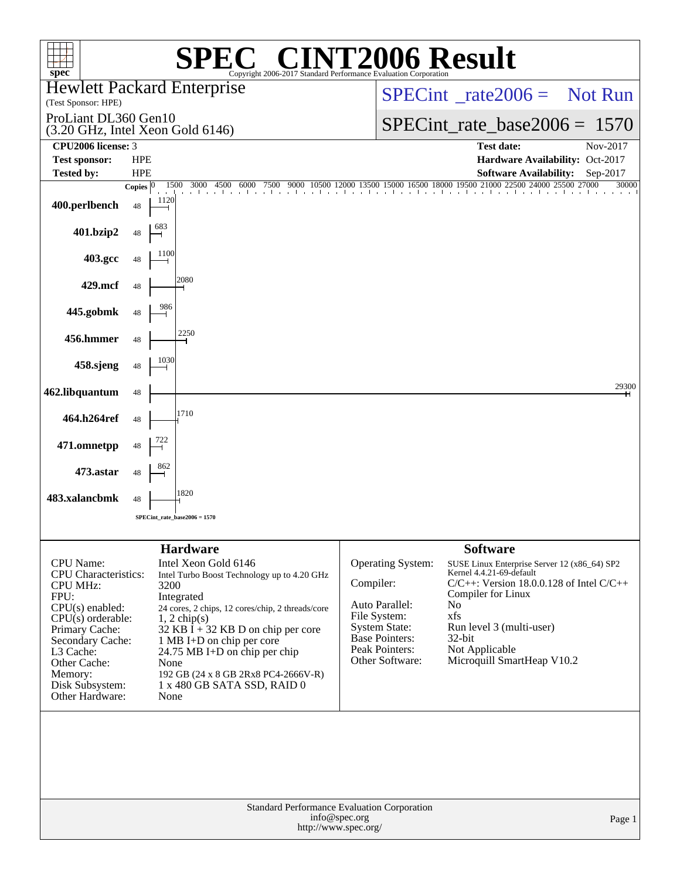| $spec^*$                                                                                                                                                                                                                   |                                    | $^{\circledR}$<br>Copyright 2006-2017 Standard Performance Evaluation Corporation                                                                                                                                                                                                                                                                      | <b>72006 Result</b>                                                                                                                             |                                                                                                                                                                                                                                                                          |                       |
|----------------------------------------------------------------------------------------------------------------------------------------------------------------------------------------------------------------------------|------------------------------------|--------------------------------------------------------------------------------------------------------------------------------------------------------------------------------------------------------------------------------------------------------------------------------------------------------------------------------------------------------|-------------------------------------------------------------------------------------------------------------------------------------------------|--------------------------------------------------------------------------------------------------------------------------------------------------------------------------------------------------------------------------------------------------------------------------|-----------------------|
| <b>Hewlett Packard Enterprise</b><br>(Test Sponsor: HPE)                                                                                                                                                                   |                                    |                                                                                                                                                                                                                                                                                                                                                        |                                                                                                                                                 | $SPECint^{\circ}$ rate $2006 =$ Not Run                                                                                                                                                                                                                                  |                       |
| ProLiant DL360 Gen10<br>(3.20 GHz, Intel Xeon Gold 6146)                                                                                                                                                                   |                                    |                                                                                                                                                                                                                                                                                                                                                        |                                                                                                                                                 | $SPECint_rate_base2006 = 1570$                                                                                                                                                                                                                                           |                       |
| CPU <sub>2006</sub> license: 3                                                                                                                                                                                             |                                    |                                                                                                                                                                                                                                                                                                                                                        |                                                                                                                                                 | <b>Test date:</b>                                                                                                                                                                                                                                                        | Nov-2017              |
| <b>Test sponsor:</b>                                                                                                                                                                                                       | <b>HPE</b>                         |                                                                                                                                                                                                                                                                                                                                                        |                                                                                                                                                 | Hardware Availability: Oct-2017                                                                                                                                                                                                                                          |                       |
| <b>Tested by:</b>                                                                                                                                                                                                          | <b>HPE</b><br>1500<br>Copies $ 0 $ | 3000<br>4500<br>6000<br>7500                                                                                                                                                                                                                                                                                                                           |                                                                                                                                                 | <b>Software Availability:</b><br>9000 10500 12000 13500 15000 16500 18000 19500 21000 22500 24000 25500 27000                                                                                                                                                            | Sep-2017<br>30000     |
| 400.perlbench                                                                                                                                                                                                              | 1120<br>48                         |                                                                                                                                                                                                                                                                                                                                                        | the character of a colorador and a colorador                                                                                                    |                                                                                                                                                                                                                                                                          |                       |
| 401.bzip2                                                                                                                                                                                                                  | 48                                 |                                                                                                                                                                                                                                                                                                                                                        |                                                                                                                                                 |                                                                                                                                                                                                                                                                          |                       |
| 403.gcc                                                                                                                                                                                                                    | 48                                 |                                                                                                                                                                                                                                                                                                                                                        |                                                                                                                                                 |                                                                                                                                                                                                                                                                          |                       |
| 429.mcf                                                                                                                                                                                                                    | 48                                 | 2080                                                                                                                                                                                                                                                                                                                                                   |                                                                                                                                                 |                                                                                                                                                                                                                                                                          |                       |
| 445.gobmk                                                                                                                                                                                                                  | 48                                 |                                                                                                                                                                                                                                                                                                                                                        |                                                                                                                                                 |                                                                                                                                                                                                                                                                          |                       |
| 456.hmmer                                                                                                                                                                                                                  | 48                                 | 2250                                                                                                                                                                                                                                                                                                                                                   |                                                                                                                                                 |                                                                                                                                                                                                                                                                          |                       |
| 458.sjeng                                                                                                                                                                                                                  | 1030<br>48                         |                                                                                                                                                                                                                                                                                                                                                        |                                                                                                                                                 |                                                                                                                                                                                                                                                                          |                       |
| 462.libquantum                                                                                                                                                                                                             | 48                                 |                                                                                                                                                                                                                                                                                                                                                        |                                                                                                                                                 |                                                                                                                                                                                                                                                                          | 29300<br>$\mathsf{H}$ |
| 464.h264ref                                                                                                                                                                                                                | 48                                 | 1710                                                                                                                                                                                                                                                                                                                                                   |                                                                                                                                                 |                                                                                                                                                                                                                                                                          |                       |
| 471.omnetpp                                                                                                                                                                                                                | 48                                 |                                                                                                                                                                                                                                                                                                                                                        |                                                                                                                                                 |                                                                                                                                                                                                                                                                          |                       |
| 473.astar                                                                                                                                                                                                                  | 48                                 | 1820                                                                                                                                                                                                                                                                                                                                                   |                                                                                                                                                 |                                                                                                                                                                                                                                                                          |                       |
| 483.xalancbmk                                                                                                                                                                                                              | 48                                 |                                                                                                                                                                                                                                                                                                                                                        |                                                                                                                                                 |                                                                                                                                                                                                                                                                          |                       |
|                                                                                                                                                                                                                            | $SPECint\_rate\_base2006 = 1570$   |                                                                                                                                                                                                                                                                                                                                                        |                                                                                                                                                 |                                                                                                                                                                                                                                                                          |                       |
|                                                                                                                                                                                                                            |                                    |                                                                                                                                                                                                                                                                                                                                                        |                                                                                                                                                 |                                                                                                                                                                                                                                                                          |                       |
| CPU Name:<br><b>CPU</b> Characteristics:<br>CPU MHz:<br>FPU:<br>CPU(s) enabled:<br>$CPU(s)$ orderable:<br>Primary Cache:<br>Secondary Cache:<br>L3 Cache:<br>Other Cache:<br>Memory:<br>Disk Subsystem:<br>Other Hardware: | 3200<br>None<br>None               | <b>Hardware</b><br>Intel Xeon Gold 6146<br>Intel Turbo Boost Technology up to 4.20 GHz<br>Integrated<br>24 cores, 2 chips, 12 cores/chip, 2 threads/core<br>$1, 2$ chip(s)<br>$32$ KB I + 32 KB D on chip per core<br>1 MB I+D on chip per core<br>24.75 MB I+D on chip per chip<br>192 GB (24 x 8 GB 2Rx8 PC4-2666V-R)<br>1 x 480 GB SATA SSD, RAID 0 | Operating System:<br>Compiler:<br>Auto Parallel:<br>File System:<br><b>System State:</b><br>Base Pointers:<br>Peak Pointers:<br>Other Software: | <b>Software</b><br>SUSE Linux Enterprise Server 12 (x86_64) SP2<br>Kernel 4.4.21-69-default<br>$C/C++$ : Version 18.0.0.128 of Intel $C/C++$<br>Compiler for Linux<br>No<br>xfs<br>Run level 3 (multi-user)<br>$32$ -bit<br>Not Applicable<br>Microquill SmartHeap V10.2 |                       |
|                                                                                                                                                                                                                            |                                    |                                                                                                                                                                                                                                                                                                                                                        | Standard Performance Evaluation Corporation<br>info@spec.org<br>http://www.spec.org/                                                            |                                                                                                                                                                                                                                                                          | Page 1                |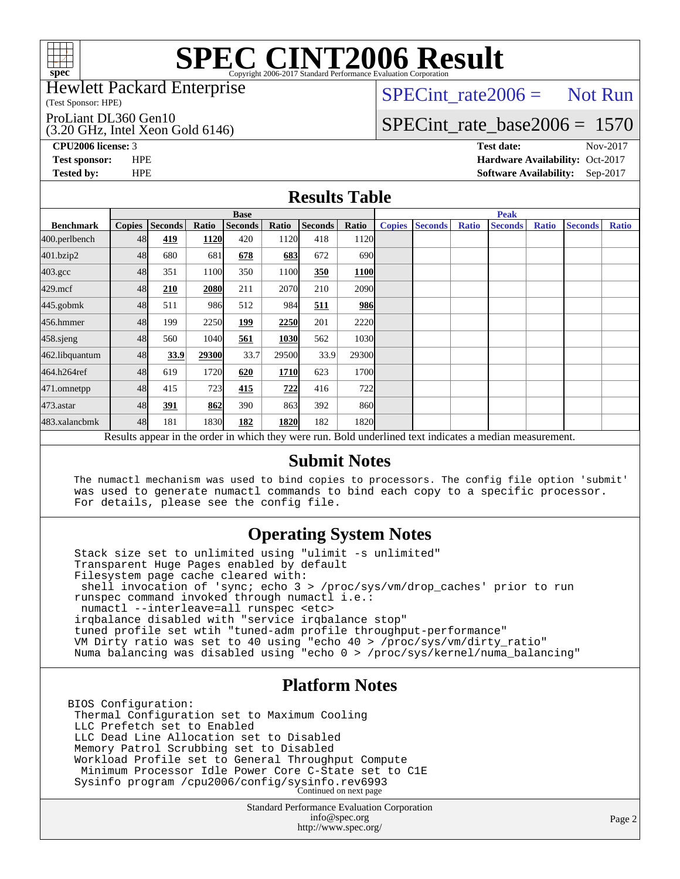

### Hewlett Packard Enterprise

(Test Sponsor: HPE)

ProLiant DL360 Gen10

(3.20 GHz, Intel Xeon Gold 6146)

 $SPECTnt_rate2006 = Not Run$ 

# [SPECint\\_rate\\_base2006 =](http://www.spec.org/auto/cpu2006/Docs/result-fields.html#SPECintratebase2006) 1570

**[CPU2006 license:](http://www.spec.org/auto/cpu2006/Docs/result-fields.html#CPU2006license)** 3 **[Test date:](http://www.spec.org/auto/cpu2006/Docs/result-fields.html#Testdate)** Nov-2017 **[Test sponsor:](http://www.spec.org/auto/cpu2006/Docs/result-fields.html#Testsponsor)** HPE **[Hardware Availability:](http://www.spec.org/auto/cpu2006/Docs/result-fields.html#HardwareAvailability)** Oct-2017 **[Tested by:](http://www.spec.org/auto/cpu2006/Docs/result-fields.html#Testedby)** HPE **[Software Availability:](http://www.spec.org/auto/cpu2006/Docs/result-fields.html#SoftwareAvailability)** Sep-2017

### **[Results Table](http://www.spec.org/auto/cpu2006/Docs/result-fields.html#ResultsTable)**

|                    | <b>Base</b>                                                                                              |                |       |                |       |                | <b>Peak</b>       |               |                |              |                |              |                |              |
|--------------------|----------------------------------------------------------------------------------------------------------|----------------|-------|----------------|-------|----------------|-------------------|---------------|----------------|--------------|----------------|--------------|----------------|--------------|
| <b>Benchmark</b>   | <b>Copies</b>                                                                                            | <b>Seconds</b> | Ratio | <b>Seconds</b> | Ratio | <b>Seconds</b> | Ratio             | <b>Copies</b> | <b>Seconds</b> | <b>Ratio</b> | <b>Seconds</b> | <b>Ratio</b> | <b>Seconds</b> | <b>Ratio</b> |
| 400.perlbench      | 48                                                                                                       | 419            | 1120  | 420            | 1120  | 418            | 1120              |               |                |              |                |              |                |              |
| 401.bzip2          | 48                                                                                                       | 680            | 681   | 678            | 683   | 672            | 690l              |               |                |              |                |              |                |              |
| $403.\mathrm{gcc}$ | 48                                                                                                       | 351            | 1100  | 350            | 1100  | 350            | <b>1100</b>       |               |                |              |                |              |                |              |
| $429$ .mcf         | 48                                                                                                       | 210            | 2080  | 211            | 2070  | 210            | 2090              |               |                |              |                |              |                |              |
| $445$ .gobm $k$    | 48                                                                                                       | 511            | 986   | 512            | 984   | 511            | 986               |               |                |              |                |              |                |              |
| 456.hmmer          | 48                                                                                                       | 199            | 2250  | 199            | 2250  | 201            | 2220              |               |                |              |                |              |                |              |
| 458.sjeng          | 48                                                                                                       | 560            | 1040  | 561            | 1030  | 562            | 1030              |               |                |              |                |              |                |              |
| 462.libquantum     | 48                                                                                                       | 33.9           | 29300 | 33.7           | 29500 | 33.9           | 29300             |               |                |              |                |              |                |              |
| 464.h264ref        | 48                                                                                                       | 619            | 1720  | 620            | 1710  | 623            | 1700              |               |                |              |                |              |                |              |
| 471.omnetpp        | 48                                                                                                       | 415            | 723   | 415            | 722   | 416            | 722               |               |                |              |                |              |                |              |
| $473$ . astar      | 48                                                                                                       | 391            | 862   | 390            | 863   | 392            | 860l              |               |                |              |                |              |                |              |
| 483.xalancbmk      | 48                                                                                                       | 181            | 1830  | 182            | 1820  | 182            | 1820 <sub>l</sub> |               |                |              |                |              |                |              |
|                    | Results appear in the order in which they were run. Bold underlined text indicates a median measurement. |                |       |                |       |                |                   |               |                |              |                |              |                |              |

### **[Submit Notes](http://www.spec.org/auto/cpu2006/Docs/result-fields.html#SubmitNotes)**

 The numactl mechanism was used to bind copies to processors. The config file option 'submit' was used to generate numactl commands to bind each copy to a specific processor. For details, please see the config file.

### **[Operating System Notes](http://www.spec.org/auto/cpu2006/Docs/result-fields.html#OperatingSystemNotes)**

 Stack size set to unlimited using "ulimit -s unlimited" Transparent Huge Pages enabled by default Filesystem page cache cleared with: shell invocation of 'sync; echo 3 > /proc/sys/vm/drop\_caches' prior to run runspec command invoked through numactl i.e.: numactl --interleave=all runspec <etc> irqbalance disabled with "service irqbalance stop" tuned profile set wtih "tuned-adm profile throughput-performance" VM Dirty ratio was set to 40 using "echo 40 > /proc/sys/vm/dirty\_ratio" Numa balancing was disabled using "echo 0 > /proc/sys/kernel/numa\_balancing"

### **[Platform Notes](http://www.spec.org/auto/cpu2006/Docs/result-fields.html#PlatformNotes)**

BIOS Configuration: Thermal Configuration set to Maximum Cooling LLC Prefetch set to Enabled LLC Dead Line Allocation set to Disabled Memory Patrol Scrubbing set to Disabled Workload Profile set to General Throughput Compute Minimum Processor Idle Power Core C-State set to C1E Sysinfo program /cpu2006/config/sysinfo.rev6993 Continued on next page

> Standard Performance Evaluation Corporation [info@spec.org](mailto:info@spec.org) <http://www.spec.org/>

Page 2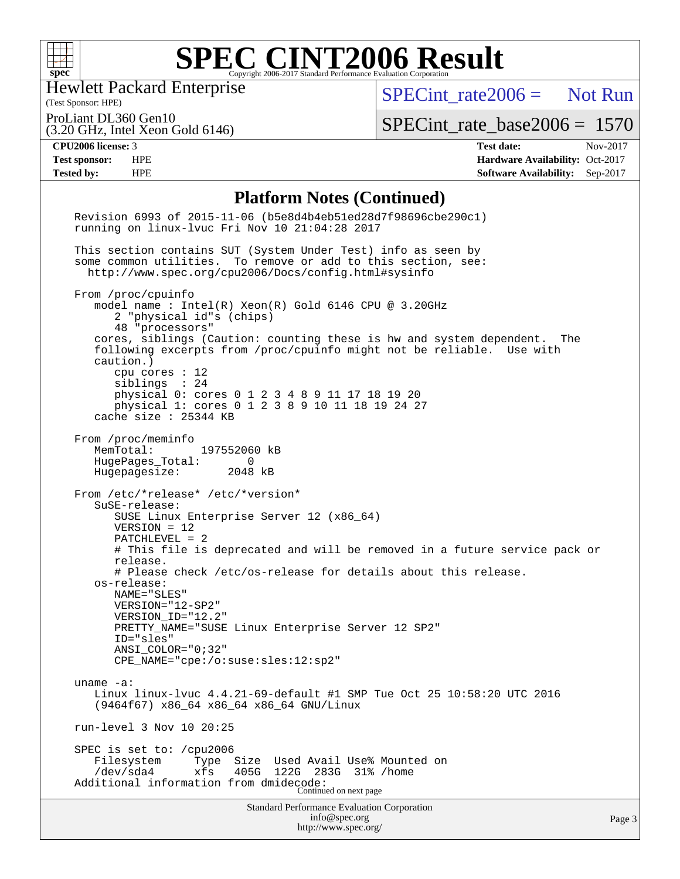

Hewlett Packard Enterprise

[SPECint\\_rate2006 =](http://www.spec.org/auto/cpu2006/Docs/result-fields.html#SPECintrate2006) Not Run

(Test Sponsor: HPE) ProLiant DL360 Gen10

(3.20 GHz, Intel Xeon Gold 6146)

[SPECint\\_rate\\_base2006 =](http://www.spec.org/auto/cpu2006/Docs/result-fields.html#SPECintratebase2006) 1570

**[CPU2006 license:](http://www.spec.org/auto/cpu2006/Docs/result-fields.html#CPU2006license)** 3 **[Test date:](http://www.spec.org/auto/cpu2006/Docs/result-fields.html#Testdate)** Nov-2017 **[Test sponsor:](http://www.spec.org/auto/cpu2006/Docs/result-fields.html#Testsponsor)** HPE **[Hardware Availability:](http://www.spec.org/auto/cpu2006/Docs/result-fields.html#HardwareAvailability)** Oct-2017 **[Tested by:](http://www.spec.org/auto/cpu2006/Docs/result-fields.html#Testedby)** HPE **[Software Availability:](http://www.spec.org/auto/cpu2006/Docs/result-fields.html#SoftwareAvailability)** Sep-2017

### **[Platform Notes \(Continued\)](http://www.spec.org/auto/cpu2006/Docs/result-fields.html#PlatformNotes)**

| <b>Standard Performance Evaluation Corporation</b><br>info@spec.org<br>http://www.spec.org/                                                                                                                                                                                                                                                                                                                                                                     | Page 3 |
|-----------------------------------------------------------------------------------------------------------------------------------------------------------------------------------------------------------------------------------------------------------------------------------------------------------------------------------------------------------------------------------------------------------------------------------------------------------------|--------|
| SPEC is set to: /cpu2006<br>Filesystem<br>Size Used Avail Use% Mounted on<br>Type<br>$/\text{dev/sda4}$<br>xfs<br>405G<br>122G<br>283G 31% / home<br>Additional information from dmidecode:<br>Continued on next page                                                                                                                                                                                                                                           |        |
| run-level 3 Nov 10 20:25                                                                                                                                                                                                                                                                                                                                                                                                                                        |        |
| uname $-a$ :<br>Linux linux-lvuc 4.4.21-69-default #1 SMP Tue Oct 25 10:58:20 UTC 2016<br>(9464f67) x86_64 x86_64 x86_64 GNU/Linux                                                                                                                                                                                                                                                                                                                              |        |
| os-release:<br>NAME="SLES"<br>VERSION="12-SP2"<br>VERSION_ID="12.2"<br>PRETTY_NAME="SUSE Linux Enterprise Server 12 SP2"<br>ID="sles"<br>$ANSI$ _COLOR=" $0:32$ "<br>CPE_NAME="cpe:/o:suse:sles:12:sp2"                                                                                                                                                                                                                                                         |        |
| From /etc/*release* /etc/*version*<br>SuSE-release:<br>SUSE Linux Enterprise Server 12 (x86_64)<br>$VERSION = 12$<br>PATCHLEVEL = 2<br># This file is deprecated and will be removed in a future service pack or<br>release.<br># Please check /etc/os-release for details about this release.                                                                                                                                                                  |        |
| From /proc/meminfo<br>MemTotal:<br>197552060 kB<br>HugePages_Total:<br>0<br>Hugepagesize: 2048 kB                                                                                                                                                                                                                                                                                                                                                               |        |
| From /proc/cpuinfo<br>model name : Intel(R) Xeon(R) Gold 6146 CPU @ 3.20GHz<br>2 "physical id"s (chips)<br>48 "processors"<br>cores, siblings (Caution: counting these is hw and system dependent. The<br>following excerpts from /proc/cpuinfo might not be reliable. Use with<br>caution.)<br>cpu cores $: 12$<br>siblings : 24<br>physical 0: cores 0 1 2 3 4 8 9 11 17 18 19 20<br>physical 1: cores 0 1 2 3 8 9 10 11 18 19 24 27<br>cache size : 25344 KB |        |
| This section contains SUT (System Under Test) info as seen by<br>some common utilities. To remove or add to this section, see:<br>http://www.spec.org/cpu2006/Docs/config.html#sysinfo                                                                                                                                                                                                                                                                          |        |
| Revision 6993 of 2015-11-06 (b5e8d4b4eb51ed28d7f98696cbe290c1)<br>running on linux-lvuc Fri Nov 10 21:04:28 2017                                                                                                                                                                                                                                                                                                                                                |        |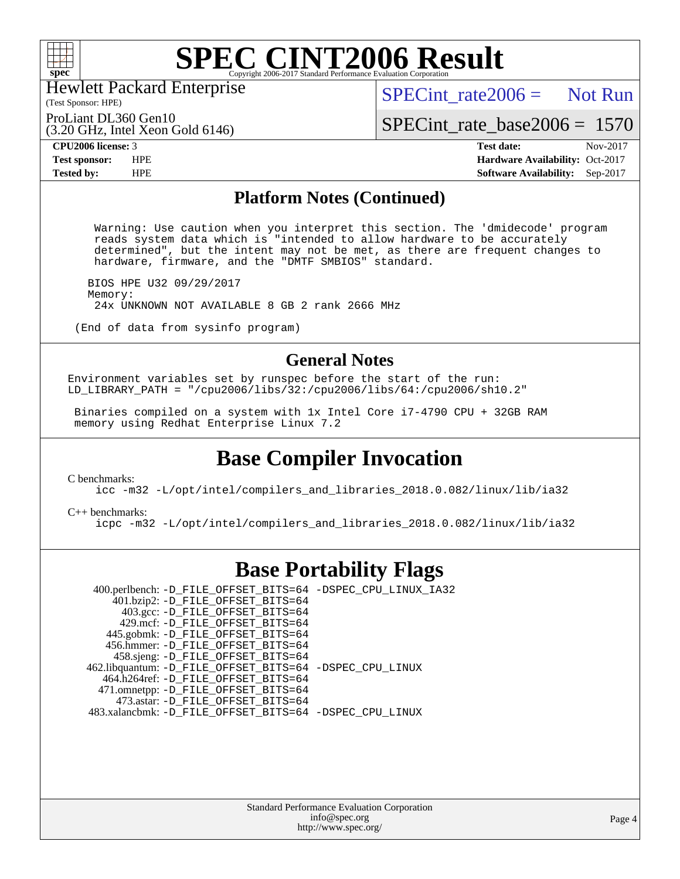

Hewlett Packard Enterprise

 $SPECint rate2006 =$  Not Run

(Test Sponsor: HPE) ProLiant DL360 Gen10

(3.20 GHz, Intel Xeon Gold 6146)

[SPECint\\_rate\\_base2006 =](http://www.spec.org/auto/cpu2006/Docs/result-fields.html#SPECintratebase2006) 1570

**[CPU2006 license:](http://www.spec.org/auto/cpu2006/Docs/result-fields.html#CPU2006license)** 3 **[Test date:](http://www.spec.org/auto/cpu2006/Docs/result-fields.html#Testdate)** Nov-2017 **[Test sponsor:](http://www.spec.org/auto/cpu2006/Docs/result-fields.html#Testsponsor)** HPE **[Hardware Availability:](http://www.spec.org/auto/cpu2006/Docs/result-fields.html#HardwareAvailability)** Oct-2017 **[Tested by:](http://www.spec.org/auto/cpu2006/Docs/result-fields.html#Testedby)** HPE **[Software Availability:](http://www.spec.org/auto/cpu2006/Docs/result-fields.html#SoftwareAvailability)** Sep-2017

### **[Platform Notes \(Continued\)](http://www.spec.org/auto/cpu2006/Docs/result-fields.html#PlatformNotes)**

 Warning: Use caution when you interpret this section. The 'dmidecode' program reads system data which is "intended to allow hardware to be accurately determined", but the intent may not be met, as there are frequent changes to hardware, firmware, and the "DMTF SMBIOS" standard.

 BIOS HPE U32 09/29/2017 Memory: 24x UNKNOWN NOT AVAILABLE 8 GB 2 rank 2666 MHz

(End of data from sysinfo program)

### **[General Notes](http://www.spec.org/auto/cpu2006/Docs/result-fields.html#GeneralNotes)**

Environment variables set by runspec before the start of the run: LD\_LIBRARY\_PATH = "/cpu2006/libs/32:/cpu2006/libs/64:/cpu2006/sh10.2"

 Binaries compiled on a system with 1x Intel Core i7-4790 CPU + 32GB RAM memory using Redhat Enterprise Linux 7.2

## **[Base Compiler Invocation](http://www.spec.org/auto/cpu2006/Docs/result-fields.html#BaseCompilerInvocation)**

[C benchmarks](http://www.spec.org/auto/cpu2006/Docs/result-fields.html#Cbenchmarks):

[icc -m32 -L/opt/intel/compilers\\_and\\_libraries\\_2018.0.082/linux/lib/ia32](http://www.spec.org/cpu2006/results/res2017q4/cpu2006-20171114-50625.flags.html#user_CCbase_intel_icc_355c401af4d5dc87e09103a6bbcae1c6)

[C++ benchmarks:](http://www.spec.org/auto/cpu2006/Docs/result-fields.html#CXXbenchmarks) [icpc -m32 -L/opt/intel/compilers\\_and\\_libraries\\_2018.0.082/linux/lib/ia32](http://www.spec.org/cpu2006/results/res2017q4/cpu2006-20171114-50625.flags.html#user_CXXbase_intel_icpc_b34a6f497613b30bc6bf10051974f22f)

### **[Base Portability Flags](http://www.spec.org/auto/cpu2006/Docs/result-fields.html#BasePortabilityFlags)**

 400.perlbench: [-D\\_FILE\\_OFFSET\\_BITS=64](http://www.spec.org/cpu2006/results/res2017q4/cpu2006-20171114-50625.flags.html#user_basePORTABILITY400_perlbench_file_offset_bits_64_438cf9856305ebd76870a2c6dc2689ab) [-DSPEC\\_CPU\\_LINUX\\_IA32](http://www.spec.org/cpu2006/results/res2017q4/cpu2006-20171114-50625.flags.html#b400.perlbench_baseCPORTABILITY_DSPEC_CPU_LINUX_IA32) 401.bzip2: [-D\\_FILE\\_OFFSET\\_BITS=64](http://www.spec.org/cpu2006/results/res2017q4/cpu2006-20171114-50625.flags.html#user_basePORTABILITY401_bzip2_file_offset_bits_64_438cf9856305ebd76870a2c6dc2689ab) 403.gcc: [-D\\_FILE\\_OFFSET\\_BITS=64](http://www.spec.org/cpu2006/results/res2017q4/cpu2006-20171114-50625.flags.html#user_basePORTABILITY403_gcc_file_offset_bits_64_438cf9856305ebd76870a2c6dc2689ab) 429.mcf: [-D\\_FILE\\_OFFSET\\_BITS=64](http://www.spec.org/cpu2006/results/res2017q4/cpu2006-20171114-50625.flags.html#user_basePORTABILITY429_mcf_file_offset_bits_64_438cf9856305ebd76870a2c6dc2689ab) 445.gobmk: [-D\\_FILE\\_OFFSET\\_BITS=64](http://www.spec.org/cpu2006/results/res2017q4/cpu2006-20171114-50625.flags.html#user_basePORTABILITY445_gobmk_file_offset_bits_64_438cf9856305ebd76870a2c6dc2689ab) 456.hmmer: [-D\\_FILE\\_OFFSET\\_BITS=64](http://www.spec.org/cpu2006/results/res2017q4/cpu2006-20171114-50625.flags.html#user_basePORTABILITY456_hmmer_file_offset_bits_64_438cf9856305ebd76870a2c6dc2689ab) 458.sjeng: [-D\\_FILE\\_OFFSET\\_BITS=64](http://www.spec.org/cpu2006/results/res2017q4/cpu2006-20171114-50625.flags.html#user_basePORTABILITY458_sjeng_file_offset_bits_64_438cf9856305ebd76870a2c6dc2689ab) 462.libquantum: [-D\\_FILE\\_OFFSET\\_BITS=64](http://www.spec.org/cpu2006/results/res2017q4/cpu2006-20171114-50625.flags.html#user_basePORTABILITY462_libquantum_file_offset_bits_64_438cf9856305ebd76870a2c6dc2689ab) [-DSPEC\\_CPU\\_LINUX](http://www.spec.org/cpu2006/results/res2017q4/cpu2006-20171114-50625.flags.html#b462.libquantum_baseCPORTABILITY_DSPEC_CPU_LINUX) 464.h264ref: [-D\\_FILE\\_OFFSET\\_BITS=64](http://www.spec.org/cpu2006/results/res2017q4/cpu2006-20171114-50625.flags.html#user_basePORTABILITY464_h264ref_file_offset_bits_64_438cf9856305ebd76870a2c6dc2689ab) 471.omnetpp: [-D\\_FILE\\_OFFSET\\_BITS=64](http://www.spec.org/cpu2006/results/res2017q4/cpu2006-20171114-50625.flags.html#user_basePORTABILITY471_omnetpp_file_offset_bits_64_438cf9856305ebd76870a2c6dc2689ab) 473.astar: [-D\\_FILE\\_OFFSET\\_BITS=64](http://www.spec.org/cpu2006/results/res2017q4/cpu2006-20171114-50625.flags.html#user_basePORTABILITY473_astar_file_offset_bits_64_438cf9856305ebd76870a2c6dc2689ab) 483.xalancbmk: [-D\\_FILE\\_OFFSET\\_BITS=64](http://www.spec.org/cpu2006/results/res2017q4/cpu2006-20171114-50625.flags.html#user_basePORTABILITY483_xalancbmk_file_offset_bits_64_438cf9856305ebd76870a2c6dc2689ab) [-DSPEC\\_CPU\\_LINUX](http://www.spec.org/cpu2006/results/res2017q4/cpu2006-20171114-50625.flags.html#b483.xalancbmk_baseCXXPORTABILITY_DSPEC_CPU_LINUX)

> Standard Performance Evaluation Corporation [info@spec.org](mailto:info@spec.org) <http://www.spec.org/>